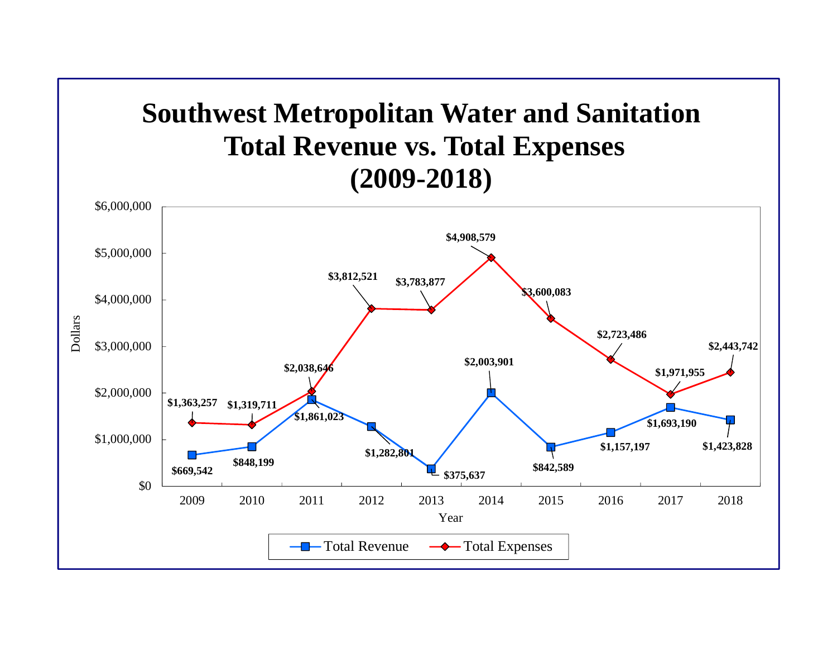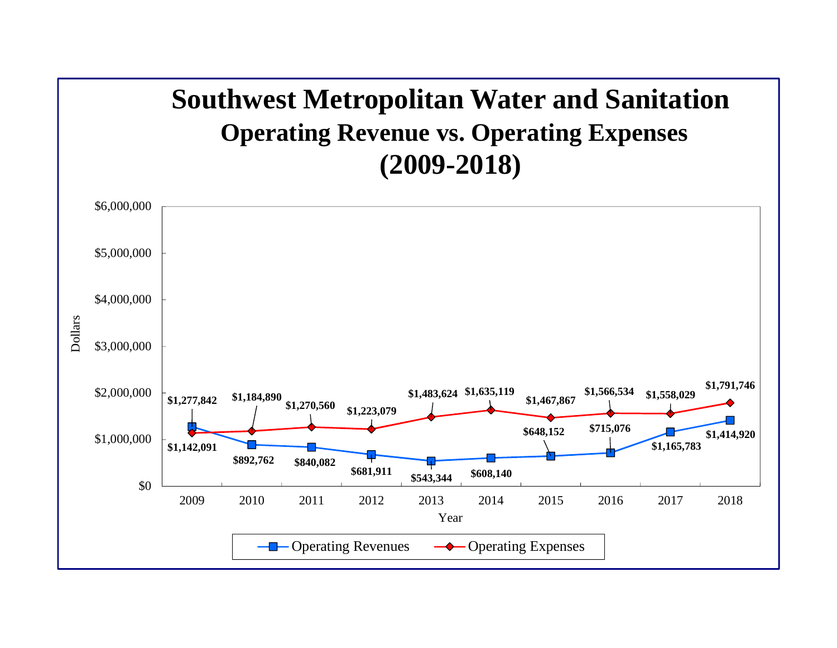## **Southwest Metropolitan Water and Sanitation Operating Revenue vs. Operating Expenses (2009-2018)**

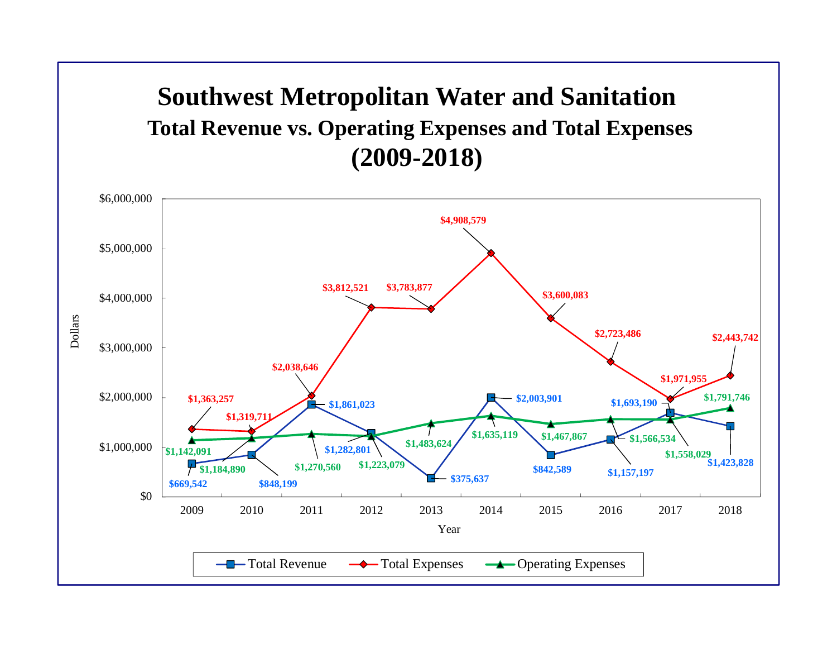## **Southwest Metropolitan Water and Sanitation Total Revenue vs. Operating Expenses and Total Expenses (2009-2018)**